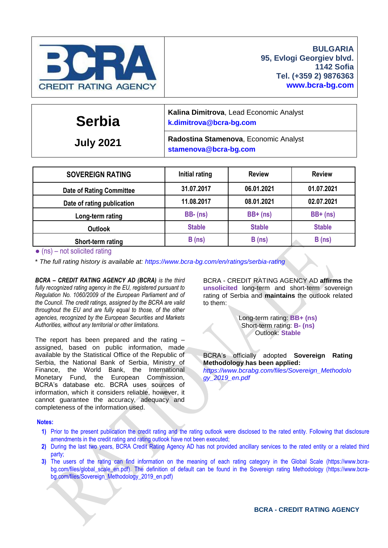

| <b>Serbia</b>    | Kalina Dimitrova, Lead Economic Analyst<br>k.dimitrova@bcra-bg.com |  |  |  |  |
|------------------|--------------------------------------------------------------------|--|--|--|--|
| <b>July 2021</b> | Radostina Stamenova, Economic Analyst<br>stamenova@bcra-bg.com     |  |  |  |  |
|                  |                                                                    |  |  |  |  |

| <b>SOVEREIGN RATING</b>         | Initial rating | <b>Review</b> | <b>Review</b> |
|---------------------------------|----------------|---------------|---------------|
| <b>Date of Rating Committee</b> | 31.07.2017     | 06.01.2021    | 01.07.2021    |
| Date of rating publication      | 11.08.2017     | 08.01.2021    | 02.07.2021    |
| Long-term rating                | $BB - (ns)$    | $BB+$ (ns)    | $BB+$ (ns)    |
| <b>Outlook</b>                  | <b>Stable</b>  | <b>Stable</b> | <b>Stable</b> |
| Short-term rating               | B(ns)          | B(ns)         | B(ns)         |

 $\bullet$  (ns) – not solicited rating

\* *The full rating history is available at:<https://www.bcra-bg.com/en/ratings/serbia-rating>*

*BCRA – CREDIT RATING AGENCY AD (BCRA) is the third fully recognized rating agency in the EU, registered pursuant to Regulation No. 1060/2009 of the European Parliament and of the Council. The credit ratings, assigned by the BCRA are valid throughout the EU and are fully equal to those, of the other agencies, recognized by the European Securities and Markets Authorities, without any territorial or other limitations.*

The report has been prepared and the rating – assigned, based on public information, made available by the Statistical Office of the Republic of Serbia, the National Bank of Serbia, Ministry of Finance, the World Bank, the International Monetary Fund, the European Commission, BCRA's database etc. BCRA uses sources of information, which it considers reliable, however, it cannot guarantee the accuracy, adequacy and completeness of the information used.

BCRA - CREDIT RATING AGENCY AD **affirms** the **unsolicited** long-term and short-term sovereign rating of Serbia and **maintains** the outlook related to them:

> Long-term rating: **BB+ (ns)** Short-term rating: **B- (ns)** Outlook: **Stable**

BCRA's officially adopted **Sovereign Rating Methodology has been applied:** *[https://www.bcrabg.com/files/Sovereign\\_Methodolo](https://www.bcrabg.com/files/Sovereign_Methodology_2019_en.pdf) [gy\\_2019\\_en.pdf](https://www.bcrabg.com/files/Sovereign_Methodology_2019_en.pdf)*

#### **Notes:**

- **1)** Prior to the present publication the credit rating and the rating outlook were disclosed to the rated entity. Following that disclosure amendments in the credit rating and rating outlook have not been executed;
- **2)** During the last two years, BCRA Credit Rating Agency AD has not provided ancillary services to the rated entity or a related third party;
- **3)** The users of the rating can find information on the meaning of each rating category in the Global Scale [\(https://www.bcra-](https://www.bcra-bg.com/files/global_scale_en.pdf)bg.com/files/global scale en.pdf). The definition of default can be found in the Sovereign rating Methodology [\(https://www.bcra](https://www.bcra-bg.com/files/Sovereign_Methodology_2019_en.pdf)[bg.com/files/Sovereign\\_Methodology\\_2019\\_en.pdf\)](https://www.bcra-bg.com/files/Sovereign_Methodology_2019_en.pdf)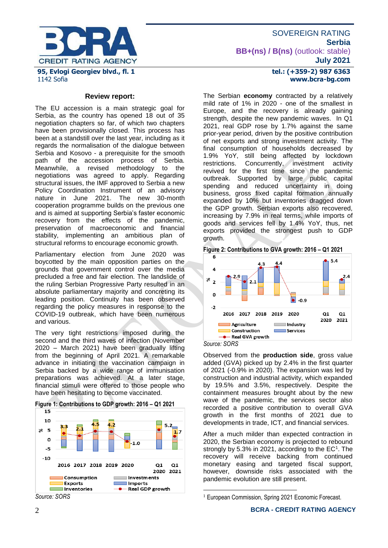

**Review report:**

The EU accession is a main strategic goal for Serbia, as the country has opened 18 out of 35 negotiation chapters so far, of which two chapters have been provisionally closed. This process has been at a standstill over the last year, including as it regards the normalisation of the dialogue between Serbia and Kosovo - a prerequisite for the smooth path of the accession process of Serbia*.*  Meanwhile, a revised methodology to the negotiations was agreed to apply. Regarding structural issues, the IMF approved to Serbia a new Policy Coordination Instrument of an advisory nature in June 2021. The new 30-month cooperation programme builds on the previous one and is aimed at supporting Serbia's faster economic recovery from the effects of the pandemic, preservation of macroeconomic and financial stability, implementing an ambitious plan of structural reforms to encourage economic growth.

Parliamentary election from June 2020 was boycotted by the main opposition parties on the grounds that government control over the media precluded a free and fair election. The landslide of the ruling Serbian Progressive Party resulted in an absolute parliamentary majority and concreting its leading position. Continuity has been observed regarding the policy measures in response to the COVID-19 outbreak, which have been numerous and various.

The very tight restrictions imposed during the second and the third waves of infection (November 2020 – March 2021) have been gradually lifting from the beginning of April 2021. A remarkable advance in initiating the vaccination campaign in Serbia backed by a wide range of immunisation preparations was achieved. At a later stage, financial stimuli were offered to those people who have been hesitating to become vaccinated.



**Figure 1: Contributions to GDP growth: 2016 – Q1 2021**

#### **tel.: (+359-2) 987 6363 www.bcra-bg.com**

The Serbian **economy** contracted by a relatively mild rate of 1% in 2020 - one of the smallest in Europe, and the recovery is already gaining strength, despite the new pandemic waves. In Q1 2021, real GDP rose by 1.7% against the same prior-year period, driven by the positive contribution of net exports and strong investment activity. The final consumption of households decreased by 1.9% YoY, still being affected by lockdown restrictions. Concurrently, investment activity revived for the first time since the pandemic outbreak. Supported by large public capital spending and reduced uncertainty in doing business, gross fixed capital formation annually expanded by 10% but inventories dragged down the GDP growth. Serbian exports also recovered, increasing by 7.9% in real terms, while imports of goods and services fell by 1.4% YoY, thus, net exports provided the strongest push to GDP growth.

**Figure 2: Contributions to GVA growth: 2016 – Q1 2021**



Observed from the **production side**, gross value added (GVA) picked up by 2.4% in the first quarter of 2021 (-0.9% in 2020). The expansion was led by construction and industrial activity, which expanded by 19.5% and 3.5%, respectively. Despite the containment measures brought about by the new wave of the pandemic, the services sector also recorded a positive contribution to overall GVA growth in the first months of 2021 due to developments in trade, ICT, and financial services.

After a much milder than expected contraction in 2020, the Serbian economy is projected to rebound strongly by 5.3% in 2021, according to the  $EC<sup>1</sup>$ . The recovery will receive backing from continued monetary easing and targeted fiscal support, however, downside risks associated with the pandemic evolution are still present.

<u>.</u>

*Source: SORS*

<sup>&</sup>lt;sup>1</sup> European Commission, Spring 2021 Economic Forecast.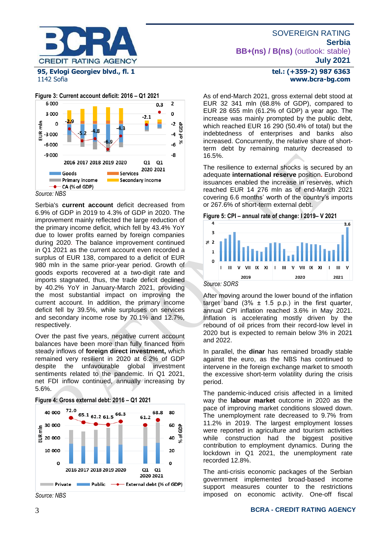

1142 Sofia



*Source: NBS*

Serbia's **current account** deficit decreased from 6.9% of GDP in 2019 to 4.3% of GDP in 2020. The improvement mainly reflected the large reduction of the primary income deficit, which fell by 43.4% YoY due to lower profits earned by foreign companies during 2020. The balance improvement continued in Q1 2021 as the current account even recorded a surplus of EUR 138, compared to a deficit of EUR 980 mln in the same prior-year period. Growth of goods exports recovered at a two-digit rate and imports stagnated, thus, the trade deficit declined by 40.2% YoY in January-March 2021, providing the most substantial impact on improving the current account. In addition, the primary income deficit fell by 39.5%, while surpluses on services and secondary income rose by 70.1% and 12.7%, respectively.

Over the past five years, negative current account balances have been more than fully financed from steady inflows of **foreign direct investment,** which remained very resilient in 2020 at 6.2% of GDP despite the unfavourable global investment sentiments related to the pandemic. In Q1 2021, net FDI inflow continued, annually increasing by 5.6%.





As of end-March 2021, gross external debt stood at EUR 32 341 mln (68.8% of GDP), compared to EUR 28 655 mln (61.2% of GDP) a year ago. The increase was mainly prompted by the public debt, which reached EUR 16 290 (50.4% of total) but the indebtedness of enterprises and banks also increased. Concurrently, the relative share of shortterm debt by remaining maturity decreased to 16.5%.

The resilience to external shocks is secured by an adequate **international reserve** position**.** Eurobond issuances enabled the increase in reserves, which reached EUR 14 276 mln as of end-March 2021 covering 6.6 months' worth of the country's imports or 267.6% of short-term external debt.





*Source: SORS*

After moving around the lower bound of the inflation target band  $(3\% \pm 1.5 \text{ p.p.})$  in the first quarter, annual CPI inflation reached 3.6% in May 2021. Inflation is accelerating mostly driven by the rebound of oil prices from their record-low level in 2020 but is expected to remain below 3% in 2021 and 2022.

In parallel, the **dinar** has remained broadly stable against the euro, as the NBS has continued to intervene in the foreign exchange market to smooth the excessive short-term volatility during the crisis period.

The pandemic-induced crisis affected in a limited way the **labour market** outcome in 2020 as the pace of improving market conditions slowed down. The unemployment rate decreased to 9.7% from 11.2% in 2019. The largest employment losses were reported in agriculture and tourism activities while construction had the biggest positive contribution to employment dynamics. During the lockdown in Q1 2021, the unemployment rate recorded 12.8%.

The anti-crisis economic packages of the Serbian government implemented broad-based income support measures counter to the restrictions imposed on economic activity. One-off fiscal

#### 3 **BCRA - CREDIT RATING AGENCY**

*Source: NBS*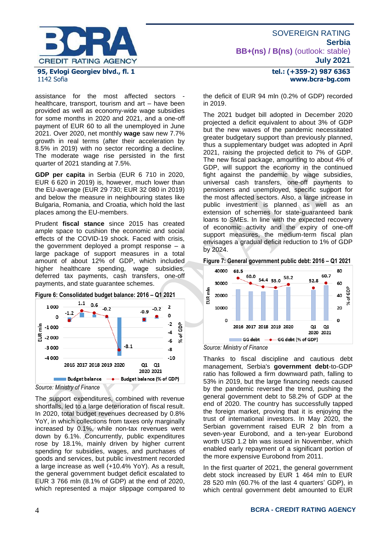

# 1142 Sofia

assistance for the most affected sectors healthcare, transport, tourism and art – have been provided as well as economy-wide wage subsidies for some months in 2020 and 2021, and a one-off payment of EUR 60 to all the unemployed in June 2021. Over 2020, net monthly **wage** saw new 7.7% growth in real terms (after their acceleration by 8.5% in 2019) with no sector recording a decline. The moderate wage rise persisted in the first quarter of 2021 standing at 7.5%.

**GDP per capita** in Serbia (EUR 6 710 in 2020, EUR 6 620 in 2019) is, however, much lower than the EU-average (EUR 29 730; EUR 32 080 in 2019) and below the measure in neighbouring states like Bulgaria, Romania, and Croatia, which hold the last places among the EU-members.

Prudent **fiscal stance** since 2015 has created ample space to cushion the economic and social effects of the COVID-19 shock. Faced with crisis, the government deployed a prompt response – a large package of support measures in a total amount of about 12% of GDP, which included higher healthcare spending, wage subsidies, deferred tax payments, cash transfers, one-off payments, and state guarantee schemes.





*Source: Ministry of Finance*

The support expenditures, combined with revenue shortfalls, led to a large deterioration of fiscal result. In 2020, total budget revenues decreased by 0.8% YoY, in which collections from taxes only marginally increased by 0.1%, while non-tax revenues went down by 6.1%. Concurrently, public expenditures rose by 18.1%, mainly driven by higher current spending for subsidies, wages, and purchases of goods and services, but public investment recorded a large increase as well (+10.4% YoY). As a result, the general government budget deficit escalated to EUR 3 766 mln (8.1% of GDP) at the end of 2020, which represented a major slippage compared to

## **tel.: (+359-2) 987 6363 www.bcra-bg.com**

the deficit of EUR 94 mln (0.2% of GDP) recorded in 2019.

The 2021 budget bill adopted in December 2020 projected a deficit equivalent to about 3% of GDP but the new waves of the pandemic necessitated greater budgetary support than previously planned, thus a supplementary budget was adopted in April 2021, raising the projected deficit to 7% of GDP. The new fiscal package, amounting to about 4% of GDP, will support the economy in the continued fight against the pandemic by wage subsidies, universal cash transfers, one-off payments to pensioners and unemployed, specific support for the most affected sectors. Also, a large increase in public investment is planned as well as an extension of schemes for state-guaranteed bank loans to SMEs. In line with the expected recovery of economic activity and the expiry of one-off support measures, the medium-term fiscal plan envisages a gradual deficit reduction to 1% of GDP by 2024.





*Source: Ministry of Finance*

Thanks to fiscal discipline and cautious debt management, Serbia's **government debt**-to-GDP ratio has followed a firm downward path, falling to 53% in 2019, but the large financing needs caused by the pandemic reversed the trend, pushing the general government debt to 58.2% of GDP at the end of 2020. The country has successfully tapped the foreign market, proving that it is enjoying the trust of international investors. In May 2020, the Serbian government raised EUR 2 bln from a seven-year Eurobond, and a ten-year Eurobond worth USD 1.2 bln was issued in November, which enabled early repayment of a significant portion of the more expensive Eurobond from 2011.

In the first quarter of 2021, the general government debt stock increased by EUR 1 464 mln to EUR 28 520 mln (60.7% of the last 4 quarters' GDP), in which central government debt amounted to EUR

#### 4 **BCRA - CREDIT RATING AGENCY**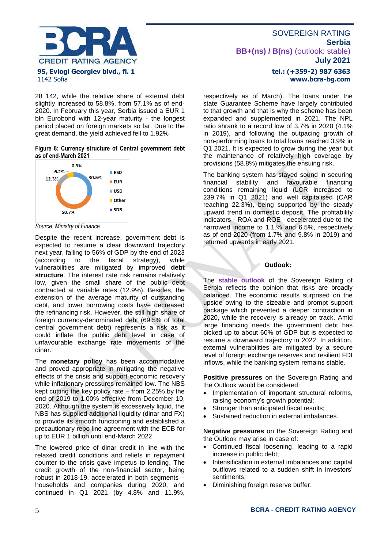

28 142, while the relative share of external debt slightly increased to 58.8%, from 57.1% as of end-2020. In February this year, Serbia issued a EUR 1 bln Eurobond with 12-year maturity - the longest period placed on foreign markets so far. Due to the great demand, the yield achieved fell to 1.92%

#### **Figure 8: Currency structure of Central government debt as of end-March 2021**



*Source: Ministry of Finance*

Despite the recent increase, government debt is expected to resume a clear downward trajectory next year, falling to 56% of GDP by the end of 2023<br>(according to the fiscal strategy), while (according to the fiscal strategy), while vulnerabilities are mitigated by improved **debt structure**. The interest rate risk remains relatively low, given the small share of the public debt contracted at variable rates (12.9%). Besides, the extension of the average maturity of outstanding debt, and lower borrowing costs have decreased the refinancing risk. However, the still high share of foreign currency-denominated debt (69.5% of total central government debt) represents a risk as it could inflate the public debt level in case of unfavourable exchange rate movements of the dinar.

The **monetary policy** has been accommodative and proved appropriate in mitigating the negative effects of the crisis and support economic recovery while inflationary pressures remained low. The NBS kept cutting the key policy rate – from 2.25% by the end of 2019 to 1.00% effective from December 10, 2020. Although the system is excessively liquid, the NBS has supplied additional liquidity (dinar and FX) to provide its smooth functioning and established a precautionary repo line agreement with the ECB for up to EUR 1 billion until end-March 2022.

The lowered price of dinar credit in line with the relaxed credit conditions and reliefs in repayment counter to the crisis gave impetus to lending. The credit growth of the non-financial sector, being robust in 2018-19, accelerated in both segments – households and companies during 2020, and continued in Q1 2021 (by 4.8% and 11.9%,

## **tel.: (+359-2) 987 6363 www.bcra-bg.com**

respectively as of March). The loans under the state Guarantee Scheme have largely contributed to that growth and that is why the scheme has been expanded and supplemented in 2021. The NPL ratio shrank to a record low of 3.7% in 2020 (4.1% in 2019), and following the outpacing growth of non-performing loans to total loans reached 3.9% in Q1 2021. It is expected to grow during the year but the maintenance of relatively high coverage by provisions (58.8%) mitigates the ensuing risk.

The banking system has stayed sound in securing financial stability and favourable financing conditions remaining liquid (LCR increased to 239.7% in Q1 2021) and well capitalised (CAR reaching 22.3%), being supported by the steady upward trend in domestic deposit. The profitability indicators - ROA and ROE - decelerated due to the narrowed income to 1.1.% and 6.5%, respectively as of end-2020 (from 1.7% and 9.8% in 2019) and returned upwards in early 2021.

### **Outlook:**

The **stable outlook** of the Sovereign Rating of Serbia reflects the opinion that risks are broadly balanced. The economic results surprised on the upside owing to the sizeable and prompt support package which prevented a deeper contraction in 2020, while the recovery is already on track. Amid large financing needs the government debt has picked up to about 60% of GDP but is expected to resume a downward trajectory in 2022. In addition, external vulnerabilities are mitigated by a secure level of foreign exchange reserves and resilient FDI inflows, while the banking system remains stable.

**Positive pressures** on the Sovereign Rating and the Outlook would be considered:

- Implementation of important structural reforms, raising economy's growth potential;
- Stronger than anticipated fiscal results;
- Sustained reduction in external imbalances.

**Negative pressures** on the Sovereign Rating and the Outlook may arise in case of:

- Continued fiscal loosening, leading to a rapid increase in public debt;
- Intensification in external imbalances and capital outflows related to a sudden shift in investors' sentiments;
- Diminishing foreign reserve buffer.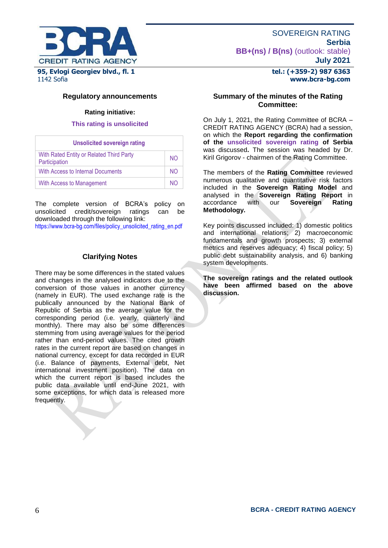

#### **tel.: (+359-2) 987 6363 www.bcra-bg.com**

### **Regulatory announcements**

#### **Rating initiative:**

#### **This rating is unsolicited**

| <b>Unsolicited sovereign rating</b>                       |     |  |  |  |
|-----------------------------------------------------------|-----|--|--|--|
| With Rated Entity or Related Third Party<br>Participation | NO. |  |  |  |
| With Access to Internal Documents                         | NO. |  |  |  |
| With Access to Management                                 | NΟ  |  |  |  |

The complete version of BCRA's policy on unsolicited credit/sovereign ratings can be downloaded through the following link:

[https://www.bcra-bg.com/files/policy\\_unsolicited\\_rating\\_en.pdf](https://www.bcra-bg.com/files/policy_unsolicited_rating_en.pdf)

#### **Clarifying Notes**

There may be some differences in the stated values and changes in the analysed indicators due to the conversion of those values in another currency (namely in EUR). The used exchange rate is the publically announced by the National Bank of Republic of Serbia as the average value for the corresponding period (i.e. yearly, quarterly and monthly). There may also be some differences stemming from using average values for the period rather than end-period values. The cited growth rates in the current report are based on changes in national currency, except for data recorded in EUR (i.e. Balance of payments, External debt, Net international investment position). The data on which the current report is based includes the public data available until end-June 2021, with some exceptions, for which data is released more frequently.

#### **Summary of the minutes of the Rating Committee:**

On July 1, 2021, the Rating Committee of BCRA – CREDIT RATING AGENCY (BCRA) had a session, on which the **Report regarding the confirmation of the unsolicited sovereign rating of Serbia** was discussed**.** The session was headed by Dr. Kiril Grigorov - chairmen of the Rating Committee.

The members of the **Rating Committee** reviewed numerous qualitative and quantitative risk factors included in the **Sovereign Rating Model** and analysed in the **Sovereign Rating Report** in accordance with our **Sovereign Rating Methodology.**

Key points discussed included: 1) domestic politics and international relations; 2) macroeconomic fundamentals and growth prospects; 3) external metrics and reserves adequacy; 4) fiscal policy; 5) public debt sustainability analysis, and 6) banking system developments.

**The sovereign ratings and the related outlook have been affirmed based on the above discussion.**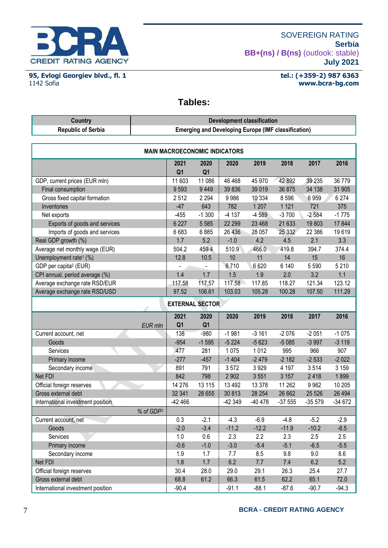

**95, Evlogi Georgiev blvd., fl. 1** 1142 Sofia

#### **tel.: (+359-2) 987 6363 www.bcra-bg.com**

## **Tables:**

| <b>Country</b>                       | <b>Development classification</b>                          |                        |          |         |         |          |          |
|--------------------------------------|------------------------------------------------------------|------------------------|----------|---------|---------|----------|----------|
| <b>Republic of Serbia</b>            | <b>Emerging and Developing Europe (IMF classification)</b> |                        |          |         |         |          |          |
|                                      |                                                            |                        |          |         |         |          |          |
| <b>MAIN MACROECONOMIC INDICATORS</b> |                                                            |                        |          |         |         |          |          |
|                                      | 2021<br>Q <sub>1</sub>                                     | 2020<br>Q <sub>1</sub> | 2020     | 2019    | 2018    | 2017     | 2016     |
| GDP, current prices (EUR mln)        | 11 603                                                     | 11 086                 | 46 4 68  | 45 970  | 42 892  | 39 235   | 36 779   |
| Final consumption                    | 9593                                                       | 9449                   | 39 836   | 39 019  | 36 875  | 34 138   | 31 905   |
| Gross fixed capital formation        | 2512                                                       | 2 2 9 4                | 9986     | 10 334  | 8596    | 6959     | 6 2 7 4  |
| Inventories                          | $-47$                                                      | 643                    | 782      | 1 2 0 7 | 1 1 2 1 | 721      | 375      |
| Net exports                          | $-455$                                                     | $-1300$                | $-4137$  | $-4589$ | $-3700$ | $-2584$  | $-1775$  |
| Exports of goods and services        | 6 2 2 7                                                    | 5 5 8 5                | 22 299   | 23 4 68 | 21 633  | 19803    | 17844    |
| Imports of goods and services        | 6683                                                       | 6885                   | 26 436   | 28 057  | 25 332  | 22 386   | 19619    |
| Real GDP growth (%)                  | 1.7                                                        | 5.2                    | $-1.0$   | 4.2     | 4.5     | 2.1      | 3.3      |
| Average net monthly wage (EUR)       | 504.2                                                      | 459.4                  | 510.9    | 466.0   | 419.8   | 394.7    | 374.4    |
| Unemployment rate <sup>1</sup> (%)   | 12.8                                                       | 10.5                   | 10       | 11      | 14      | 15       | 16       |
| GDP per capita <sup>2</sup> (EUR)    |                                                            |                        | 6710     | 6620    | 6 140   | 5 5 9 0  | 5 2 1 0  |
| CPI annual, period average (%)       | 1.4                                                        | 1.7                    | 1.5      | 1.9     | 2.0     | 3.2      | 1.1      |
| Average exchange rate RSD/EUR        | 117.58                                                     | 117.57                 | 117.58   | 117.85  | 118.27  | 121.34   | 123.12   |
| Average exchange rate RSD/USD        | 97.52                                                      | 106.61                 | 103.03   | 105.28  | 100.28  | 107.50   | 111.29   |
|                                      |                                                            | <b>EXTERNAL SECTOR</b> |          |         |         |          |          |
|                                      | 2021                                                       | 2020                   | 2020     | 2019    | 2018    | 2017     | 2016     |
| EUR mln                              | Q <sub>1</sub>                                             | Q <sub>1</sub>         |          |         |         |          |          |
| Current account, net                 | 138                                                        | $-980$                 | $-1981$  | $-3161$ | $-2076$ | $-2051$  | $-1075$  |
| Goods                                | $-954$                                                     | $-1595$                | $-5224$  | $-5623$ | $-5085$ | $-3997$  | $-3119$  |
| <b>Services</b>                      | 477                                                        | 281                    | 1075     | 1012    | 995     | 966      | 907      |
| Primary income                       | $-277$                                                     | $-457$                 | $-1404$  | $-2479$ | $-2182$ | $-2533$  | $-2022$  |
| Secondary income                     | 891                                                        | 791                    | 3572     | 3929    | 4 1 9 7 | 3514     | 3 1 5 9  |
| Net FDI                              | 842                                                        | 798                    | 2 9 0 2  | 3551    | 3 1 5 7 | 2418     | 1899     |
| Official foreign reserves            | 14 276                                                     | 13 115                 | 13 4 9 2 | 13 3 78 | 11 262  | 9 9 6 2  | 10 205   |
| Gross external debt                  | 32 341                                                     | 28 655                 | 30 813   | 28 254  | 26 662  | 25 5 26  | 26 4 94  |
| International investment position    | -42 466                                                    |                        | -42 349  | -40 478 | -37 555 | $-35579$ | $-34672$ |
| % of GDP3                            |                                                            |                        |          |         |         |          |          |
| Current account, net                 | 0.3                                                        | $-2.1$                 | $-4.3$   | $-6.9$  | $-4.8$  | $-5.2$   | $-2.9$   |
| Goods                                | $-2.0$                                                     | $-3.4$                 | $-11.2$  | $-12.2$ | $-11.9$ | $-10.2$  | $-8.5$   |
| Services                             | 1.0                                                        | 0.6                    | 2.3      | 2.2     | 2.3     | 2.5      | 2.5      |
| Primary income                       | $-0.6$                                                     | $-1.0$                 | $-3.0$   | $-5.4$  | $-5.1$  | $-6.5$   | $-5.5$   |
| Secondary income                     | 1.9                                                        | 1.7                    | 7.7      | 8.5     | 9.8     | 9.0      | 8.6      |
| Net FDI                              | 1.8                                                        | 1.7                    | 6.2      | 7.7     | 7.4     | 6.2      | 5.2      |
| Official foreign reserves            | 30.4                                                       | 28.0                   | 29.0     | 29.1    | 26.3    | 25.4     | 27.7     |
| Gross external debt                  | 68.8                                                       | 61.2                   | 66.3     | 61.5    | 62.2    | 65.1     | 72.0     |
| International investment position    | $-90.4$                                                    |                        | $-91.1$  | $-88.1$ | $-87.6$ | $-90.7$  | $-94.3$  |